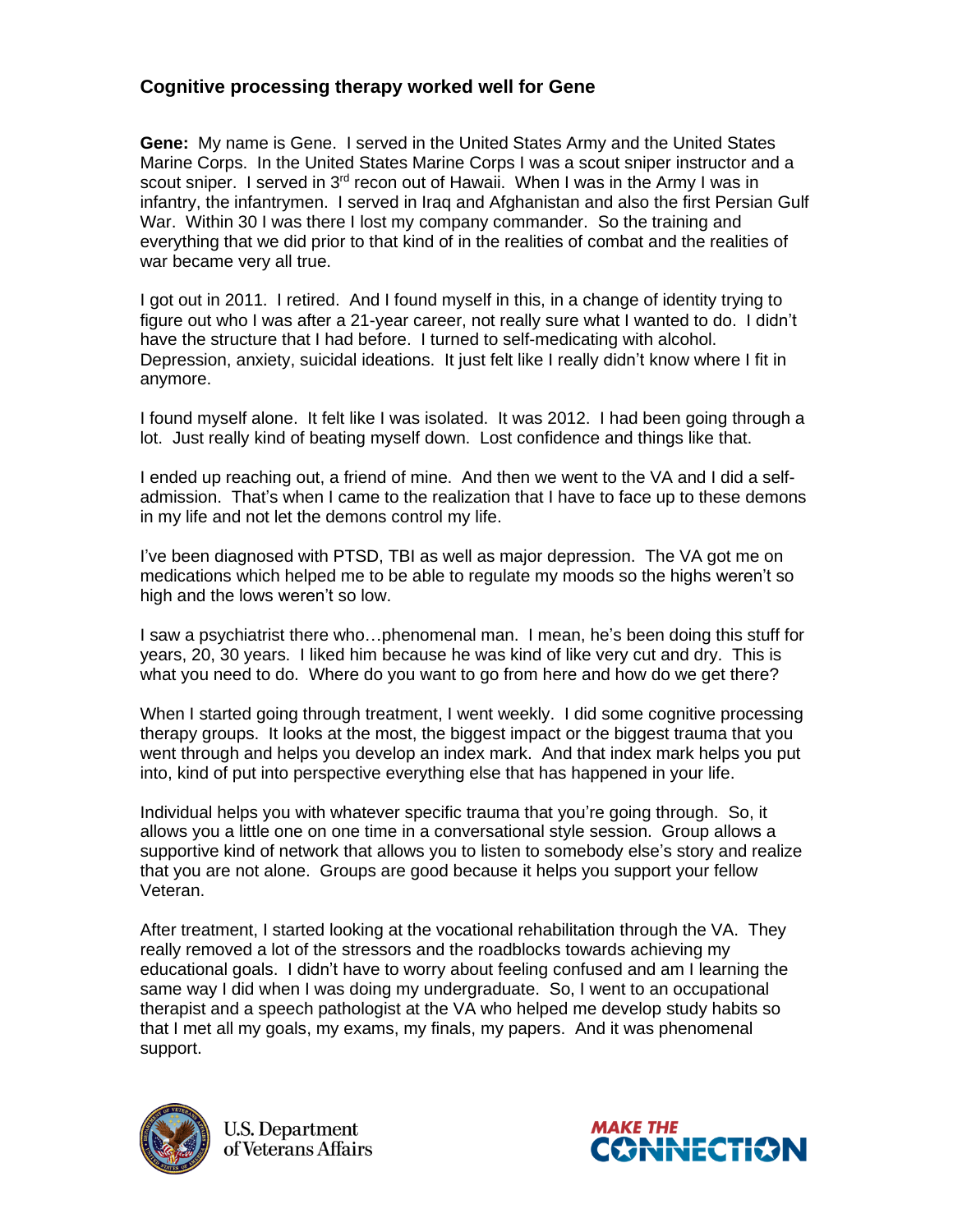## **Cognitive processing therapy worked well for Gene**

**Gene:** My name is Gene. I served in the United States Army and the United States Marine Corps. In the United States Marine Corps I was a scout sniper instructor and a scout sniper. I served in  $3<sup>rd</sup>$  recon out of Hawaii. When I was in the Army I was in infantry, the infantrymen. I served in Iraq and Afghanistan and also the first Persian Gulf War. Within 30 I was there I lost my company commander. So the training and everything that we did prior to that kind of in the realities of combat and the realities of war became very all true.

I got out in 2011. I retired. And I found myself in this, in a change of identity trying to figure out who I was after a 21-year career, not really sure what I wanted to do. I didn't have the structure that I had before. I turned to self-medicating with alcohol. Depression, anxiety, suicidal ideations. It just felt like I really didn't know where I fit in anymore.

I found myself alone. It felt like I was isolated. It was 2012. I had been going through a lot. Just really kind of beating myself down. Lost confidence and things like that.

I ended up reaching out, a friend of mine. And then we went to the VA and I did a selfadmission. That's when I came to the realization that I have to face up to these demons in my life and not let the demons control my life.

I've been diagnosed with PTSD, TBI as well as major depression. The VA got me on medications which helped me to be able to regulate my moods so the highs weren't so high and the lows weren't so low.

I saw a psychiatrist there who…phenomenal man. I mean, he's been doing this stuff for years, 20, 30 years. I liked him because he was kind of like very cut and dry. This is what you need to do. Where do you want to go from here and how do we get there?

When I started going through treatment. I went weekly. I did some cognitive processing therapy groups. It looks at the most, the biggest impact or the biggest trauma that you went through and helps you develop an index mark. And that index mark helps you put into, kind of put into perspective everything else that has happened in your life.

Individual helps you with whatever specific trauma that you're going through. So, it allows you a little one on one time in a conversational style session. Group allows a supportive kind of network that allows you to listen to somebody else's story and realize that you are not alone. Groups are good because it helps you support your fellow Veteran.

After treatment, I started looking at the vocational rehabilitation through the VA. They really removed a lot of the stressors and the roadblocks towards achieving my educational goals. I didn't have to worry about feeling confused and am I learning the same way I did when I was doing my undergraduate. So, I went to an occupational therapist and a speech pathologist at the VA who helped me develop study habits so that I met all my goals, my exams, my finals, my papers. And it was phenomenal support.



**U.S. Department** of Veterans Affairs